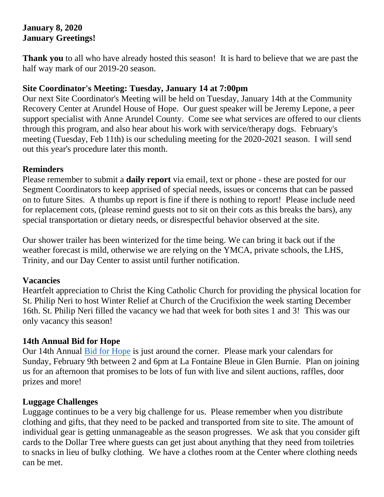# **January 8, 2020 January Greetings!**

**Thank you** to all who have already hosted this season! It is hard to believe that we are past the half way mark of our 2019-20 season.

#### **Site Coordinator's Meeting: Tuesday, January 14 at 7:00pm**

Our next Site Coordinator's Meeting will be held on Tuesday, January 14th at the Community Recovery Center at Arundel House of Hope. Our guest speaker will be Jeremy Lepone, a peer support specialist with Anne Arundel County. Come see what services are offered to our clients through this program, and also hear about his work with service/therapy dogs. February's meeting (Tuesday, Feb 11th) is our scheduling meeting for the 2020-2021 season. I will send out this year's procedure later this month.

#### **Reminders**

Please remember to submit a **daily report** via email, text or phone - these are posted for our Segment Coordinators to keep apprised of special needs, issues or concerns that can be passed on to future Sites. A thumbs up report is fine if there is nothing to report! Please include need for replacement cots, (please remind guests not to sit on their cots as this breaks the bars), any special transportation or dietary needs, or disrespectful behavior observed at the site.

Our shower trailer has been winterized for the time being. We can bring it back out if the weather forecast is mild, otherwise we are relying on the YMCA, private schools, the LHS, Trinity, and our Day Center to assist until further notification.

## **Vacancies**

Heartfelt appreciation to Christ the King Catholic Church for providing the physical location for St. Philip Neri to host Winter Relief at Church of the Crucifixion the week starting December 16th. St. Philip Neri filled the vacancy we had that week for both sites 1 and 3! This was our only vacancy this season!

## **14th Annual Bid for Hope**

Our 14th Annual [Bid for Hope](http://www.arundelhoh.org/2020-Bid-for-Hope.pdf) is just around the corner. Please mark your calendars for Sunday, February 9th between 2 and 6pm at La Fontaine Bleue in Glen Burnie. Plan on joining us for an afternoon that promises to be lots of fun with live and silent auctions, raffles, door prizes and more!

## **Luggage Challenges**

Luggage continues to be a very big challenge for us. Please remember when you distribute clothing and gifts, that they need to be packed and transported from site to site. The amount of individual gear is getting unmanageable as the season progresses. We ask that you consider gift cards to the Dollar Tree where guests can get just about anything that they need from toiletries to snacks in lieu of bulky clothing. We have a clothes room at the Center where clothing needs can be met.